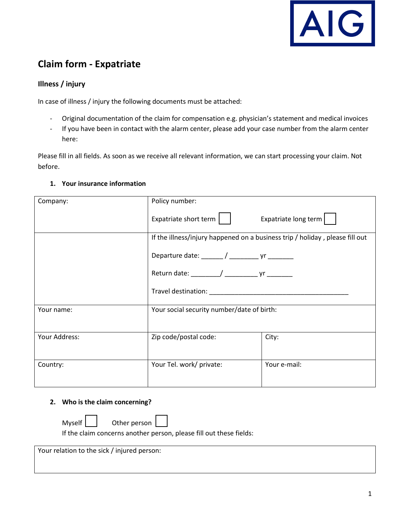

# **Claim form - Expatriate**

# **Illness / injury**

In case of illness / injury the following documents must be attached:

- Original documentation of the claim for compensation e.g. physician's statement and medical invoices
- If you have been in contact with the alarm center, please add your case number from the alarm center here:

Please fill in all fields. As soon as we receive all relevant information, we can start processing your claim. Not before.

### **1. Your insurance information**

| Company:      | Policy number:                                                               |                      |  |
|---------------|------------------------------------------------------------------------------|----------------------|--|
|               | Expatriate short term $\vert \quad \vert$                                    | Expatriate long term |  |
|               | If the illness/injury happened on a business trip / holiday, please fill out |                      |  |
|               | Departure date: ______/ ______________ yr _________                          |                      |  |
|               | Return date: ________/ _______________ yr _________                          |                      |  |
|               |                                                                              |                      |  |
| Your name:    | Your social security number/date of birth:                                   |                      |  |
| Your Address: | Zip code/postal code:                                                        | City:                |  |
| Country:      | Your Tel. work/ private:                                                     | Your e-mail:         |  |

#### **2. Who is the claim concerning?**

Myself **Other person** 

If the claim concerns another person, please fill out these fields:

Your relation to the sick / injured person: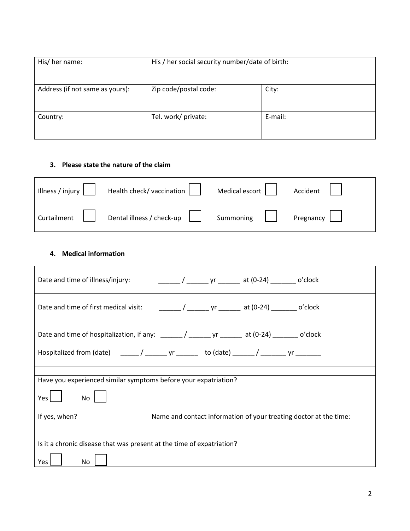| His/ her name:                  | His / her social security number/date of birth: |         |
|---------------------------------|-------------------------------------------------|---------|
| Address (if not same as yours): | Zip code/postal code:                           | City:   |
| Country:                        | Tel. work/ private:                             | E-mail: |

## **3. Please state the nature of the claim**

| Illness / injury $\vert$ $\vert$ | Health check/vaccination              | Medical escort $\vert \ \ \vert$ | Accident |
|----------------------------------|---------------------------------------|----------------------------------|----------|
| Curtailment                      | Dental illness / check-up $\ \cdot\ $ | Summoning   Pregnancy            |          |

#### **4. Medical information**

| Date and time of illness/injury:                                                               | _________ / ________ yr ________ at (0-24) _________ o'clock |  |  |                                                                   |
|------------------------------------------------------------------------------------------------|--------------------------------------------------------------|--|--|-------------------------------------------------------------------|
|                                                                                                |                                                              |  |  |                                                                   |
| Date and time of hospitalization, if any: ______/ _______ yr _______ at (0-24) _______ o'clock |                                                              |  |  |                                                                   |
| Hospitalized from (date) _____/ _______ yr _______ to (date) ______/ _______ yr _______        |                                                              |  |  |                                                                   |
|                                                                                                |                                                              |  |  |                                                                   |
| Have you experienced similar symptoms before your expatriation?                                |                                                              |  |  |                                                                   |
| Yes<br>No                                                                                      |                                                              |  |  |                                                                   |
| If yes, when?                                                                                  |                                                              |  |  | Name and contact information of your treating doctor at the time: |
|                                                                                                |                                                              |  |  |                                                                   |
| Is it a chronic disease that was present at the time of expatriation?                          |                                                              |  |  |                                                                   |
| No<br>Yes L                                                                                    |                                                              |  |  |                                                                   |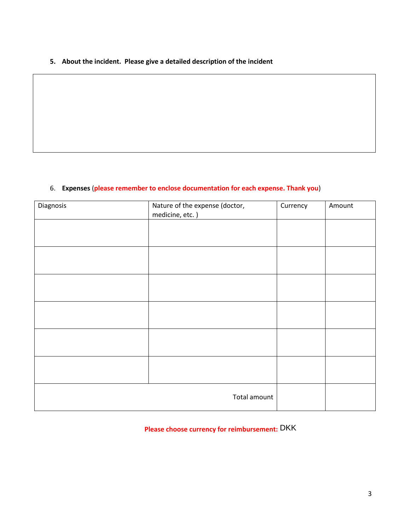**5. About the incident. Please give a detailed description of the incident**

## 6. **Expenses** (**please remember to enclose documentation for each expense. Thank you**)

| Nature of the expense (doctor,<br>medicine, etc.) | Currency | Amount |
|---------------------------------------------------|----------|--------|
|                                                   |          |        |
|                                                   |          |        |
|                                                   |          |        |
|                                                   |          |        |
|                                                   |          |        |
|                                                   |          |        |
|                                                   |          |        |
|                                                   |          |        |
|                                                   |          |        |
|                                                   |          |        |
| Total amount                                      |          |        |
|                                                   |          |        |

**Please choose currency for reimbursement:** DKK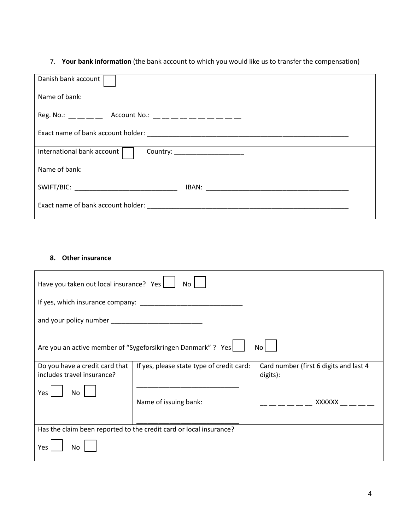7. **Your bank information** (the bank account to which you would like us to transfer the compensation)

| Danish bank account                                                                                                                                                                                                                                                                                            |  |  |  |
|----------------------------------------------------------------------------------------------------------------------------------------------------------------------------------------------------------------------------------------------------------------------------------------------------------------|--|--|--|
| Name of bank:                                                                                                                                                                                                                                                                                                  |  |  |  |
| Reg. No.: $\frac{1}{1}$ $\frac{1}{1}$ $\frac{1}{1}$ Account No.: $\frac{1}{1}$ $\frac{1}{1}$ $\frac{1}{1}$ $\frac{1}{1}$ $\frac{1}{1}$ $\frac{1}{1}$ $\frac{1}{1}$ $\frac{1}{1}$ $\frac{1}{1}$ $\frac{1}{1}$ $\frac{1}{1}$ $\frac{1}{1}$ $\frac{1}{1}$ $\frac{1}{1}$ $\frac{1}{1}$ $\frac{1}{1}$ $\frac{1}{1}$ |  |  |  |
|                                                                                                                                                                                                                                                                                                                |  |  |  |
| International bank account<br>Country: _______________________                                                                                                                                                                                                                                                 |  |  |  |
| Name of bank:                                                                                                                                                                                                                                                                                                  |  |  |  |
| SWIFT/BIC: _________________________________                                                                                                                                                                                                                                                                   |  |  |  |
|                                                                                                                                                                                                                                                                                                                |  |  |  |

# **8. Other insurance**

| Have you taken out local insurance? Yes<br>No                      |                                           |                                                    |  |
|--------------------------------------------------------------------|-------------------------------------------|----------------------------------------------------|--|
|                                                                    |                                           |                                                    |  |
| and your policy number <b>example and your policy number</b>       |                                           |                                                    |  |
| Are you an active member of "Sygeforsikringen Danmark" ? Yes<br>No |                                           |                                                    |  |
| Do you have a credit card that<br>includes travel insurance?       | If yes, please state type of credit card: | Card number (first 6 digits and last 4<br>digits): |  |
| Yes<br>No                                                          |                                           |                                                    |  |
|                                                                    | Name of issuing bank:                     | XXXXXX                                             |  |
|                                                                    |                                           |                                                    |  |
| Has the claim been reported to the credit card or local insurance? |                                           |                                                    |  |
| Yes<br>No                                                          |                                           |                                                    |  |